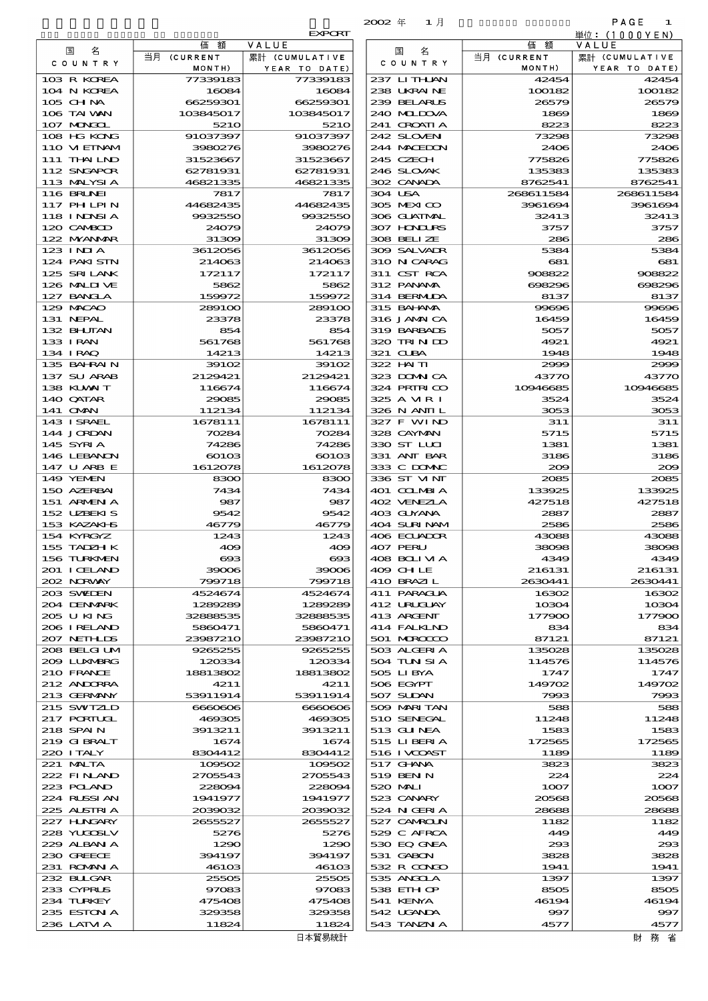|                             |                      |                        | $2002 \#$<br>1月            |                  | PAGE<br>1              |
|-----------------------------|----------------------|------------------------|----------------------------|------------------|------------------------|
|                             | 価<br>額               | <b>EXPORT</b><br>VALUE |                            | 価<br>額           | 単位: (1000YEN)<br>VALUE |
| 名<br>国                      | 当月 (CURRENT          | 累計 (CUMULATIVE         | 名<br>国                     | 当月 (CURRENT      | 累計 (CUMULATIVE         |
| C O U N T R Y               | MONTH)               | YEAR TO DATE)          | C O U N T R Y              | MONTH)           | YEAR TO DATE)          |
| 103 R KOREA                 | 77339183             | 77339183               | 237 LITHAN                 | 42454            | 42454                  |
| 104 N KOREA<br>105 CH NA    | 16084<br>66259301    | 16084<br>66259301      | 238 UKRAINE<br>239 BELARUS | 100182<br>26579  | 100182<br>26579        |
| 106 TAI WAN                 | 103845017            | 103845017              | 240 MIDOVA                 | 1869             | 1869                   |
| 107 MONGOL                  | 5210                 | 5210                   | 241 CROATIA                | 8223             | 8223                   |
| 108 HG KONG                 | 91037397             | 91037397               | 242 SLOVEN                 | 73298            | 73298                  |
| 110 VIEINAM                 | 3980276              | 3980276                | 244 MACHON                 | 2406             | 2406<br>775826         |
| 111 THAILND<br>112 SNGAPOR  | 31523667<br>62781931 | 31523667<br>62781931   | 245 CZECH<br>246 SLOVAK    | 775826<br>135383 | 135383                 |
| 113 MALYSIA                 | 46821335             | 46821335               | 302 CANADA                 | 8762541          | 8762541                |
| 116 BRUNEI                  | 7817                 | 7817                   | 304 USA                    | 268611584        | 268611584              |
| 117 PH LPIN                 | 44682435             | 44682435               | 305 MEXICO                 | 3961694          | 3961694                |
| 118 I NDNSI A<br>120 CAMBOD | 9932550<br>24079     | 9932550<br>24079       | 306 GUATMAL<br>307 HONDURS | 32413<br>3757    | 32413<br>3757          |
| 122 NYANAR                  | 31309                | 31309                  | 308 BELLZE                 | 286              | 286                    |
| 123 INJA                    | 3612056              | 3612056                | 309 SALVADR                | 5384             | 5384                   |
| 124 PAKISTN<br>125 SRILANK  | 214063               | 214063                 | 310 N CARAG<br>311 CST RCA | 681              | 681                    |
| 126 MALLIVE                 | 172117<br>5862       | 172117<br>5862         | 312 PANAMA                 | 908822<br>698296 | 908822<br>698296       |
| 127 BANCLA                  | 159972               | 159972                 | 314 BERMIDA                | 8137             | 8137                   |
| 129 MACAO                   | 289100               | 289100                 | 315 BAI ANA                | 99696            | 99696                  |
| 131 NEPAL                   | 23378                | 23378                  | 316 JAMAICA<br>319 BARBADS | 16459            | 16459<br>5057          |
| 132 BHUTAN<br>133 IRAN      | 854<br>561768        | 854<br>561768          | 320 TRINDO                 | 5057<br>4921     | 4921                   |
| 134 IRAQ                    | 14213                | 14213                  | 321 CUBA                   | 1948             | 1948                   |
| 135 BAHRAIN                 | 39102                | 39102                  | 322 HAITI                  | 2999             | 2999                   |
| 137 SU ARAB                 | 2129421              | 2129421                | 323 DOMNICA                | 43770            | 43770                  |
| 138 KUWAIT<br>140 QATAR     | 116674<br>29085      | 116674<br>29085        | 324 PRIRICO<br>325 A MRI   | 10946685<br>3524 | 10946685<br>3524       |
| 141 OMN                     | 112134               | 112134                 | 326 N ANII L               | 3053             | 3053                   |
| 143 ISRAEL                  | 1678111              | 1678111                | 327 F WIND                 | 311              | 311                    |
| 144 JORDAN<br>145 SYRI A    | 70284                | 70284<br>74286         | 328 CAYMAN<br>330 ST LUI   | 5715             | 5715                   |
| 146 LEBANON                 | 74286<br>60103       | 60103                  | 331 ANT BAR                | 1381<br>3186     | 1381<br>3186           |
| 147 U ARB E                 | 1612078              | 1612078                | 333 C DOMAC                | 200              | 200                    |
| 149 YEMEN                   | 8300                 | 8300                   | 336 ST VINT                | 2085             | 2085                   |
| 150 AZERBAI<br>151 ARMEN A  | 7434<br>987          | 7434<br>987            | 401 COLMBIA<br>402 VENEZIA | 133925<br>427518 | 133925<br>427518       |
| 152 UZBEKIS                 | 9542                 | 9542                   | 403 GUYANA                 | 2887             | 2887                   |
| 153 KAZAKI B                | 46779                | 46779                  | 404 SURINAM                | 2586             | 2586                   |
| 154 KYRGYZ                  | 1243                 | 1243                   | 406 ECUADOR                | 43088            | 43088                  |
| 155 TADZH K<br>156 TURKMEN  | 409<br>$\alpha$      | 409<br>$\infty$        | 407 PERU<br>408 BOLIMA     | 38096<br>4349    | 38098<br>4349          |
| 201 I CELAND                | 39006                | 39006                  | 409 CHLE                   | 216131           | 216131                 |
| 202 NORWAY                  | 799718               | 799718                 | 410 BRAZIL                 | 2630441          | 2630441                |
| 203 SWIDEN                  | 4524674              | 4524674                | 411 PARAGUA                | 16302            | 16302                  |
| 204 DENMARK<br>205 U KING   | 1289289<br>32888535  | 1289289<br>32888535    | 412 URUCUAY<br>413 ARCENT  | 10304<br>177900  | 10304<br>177900        |
| 206 I RELAND                | 5860471              | 5860471                | 414 FALKIND                | 834              | 834                    |
| 207 NETHLIS                 | 23987210             | 23987210               | 501 MROCCO                 | 87121            | 87121                  |
| 208 BELGI UM                | 9265255              | 9265255                | 503 ALGERIA                | 135028           | 135028                 |
| 2009 LUNABRG<br>210 FRANCE  | 120334<br>18813802   | 120334<br>18813802     | 504 TUN SI A<br>505 LIBYA  | 114576<br>1747   | 114576<br>1747         |
| 212 ANDORRA                 | 4211                 | 4211                   | 506 EGYPT                  | 149702           | 149702                 |
| 213 GERMANY                 | 53911914             | 53911914               | 507 SUDAN                  | 7993             | 7993                   |
| 215 SWIZLD                  | 6660606              | 6660606                | 509 MARI TAN               | 588              | 588                    |
| 217 PORTUGL<br>218 SPAIN    | 469305<br>3913211    | 469305<br>3913211      | 510 SENEGAL<br>513 GUNEA   | 11248<br>1583    | 11248<br>1583          |
| 219 GIBRALT                 | 1674                 | 1674                   | 515 LIBERIA                | 172565           | 172565                 |
| 220 I TALY                  | 8304412              | 8304412                | 516 I VCOAST               | 1189             | 1189                   |
| 221 MALTA<br>222 FINAND     | 109502<br>2705543    | 109502<br>2705543      | 517 GHNA<br>519 BEN N      | 3823<br>224      | 3823<br>224            |
| 223 POLAND                  | 228094               | 228094                 | 520 MAI                    | 1007             | 1007                   |
| 224 RUSSI AN                | 1941977              | 1941977                | 523 CANARY                 | 20568            | 20568                  |
| 225 ALSTRIA                 | 2039032              | 2039032                | 524 N GERIA                | 28688            | 28688                  |
| 227 H.NGARY                 | 2655527              | 2655527                | 527 CAMROLN<br>529 C AFRCA | 1182<br>449      | 1182                   |
| 228 YUQOSLV<br>229 ALBAN A  | 5276<br>1290         | 5276<br>1290           | 530 EQ GNEA                | 293              | 449<br>293             |
| 230 GREECE                  | 394197               | 394197                 | 531 GABON                  | 3828             | 3828                   |
| 231 ROMANIA                 | 46103                | 46103                  | 532 R CONGO                | 1941             | 1941                   |
| 232 BULGAR<br>233 CYPRUS    | 25505<br>97083       | 25505<br>97083         | 535 ANGOLA<br>538 EIH OP   | 1397<br>8505     | 1397<br>8505           |
| 234 TURKEY                  | 475408               | 475408                 | 541 KENYA                  | 46194            | 46194                  |
| 235 ESTON A                 | 329358               | 329358                 | 542 UGANDA                 | 997              | 997                    |
| 236 LATVI A                 | 11824                | 11824                  | 543 TANZN A                | 4577             | 4577                   |
|                             |                      | 日本貿易統計                 |                            |                  | 財務省                    |

|                                  |                       | <b>EXPORI</b>                   |
|----------------------------------|-----------------------|---------------------------------|
| 国<br>名                           | 価<br>額                | VALUE                           |
| COUNTRY                          | 当月 (CURRENT<br>MONTH) | 累計 (CUMULATIVE<br>YEAR TO DATE) |
| 103 R KOREA                      | 77339183              | 77339183                        |
| 104 N KOREA                      | 16084                 | 16084                           |
| $105$ CHNA                       | 66259301              | 66259301                        |
| 106 TAI VAN                      | 103845017<br>5210     | 103845017<br>521C               |
| 107 MONGOL<br>108 HG KONG        | 91037397              | 91037397                        |
| 110 VIEINAM                      | 3980276               | 3980276                         |
| 111 THAI LND                     | 31523667              | 31523667                        |
| 112 SNGAPOR                      | 62781931              | 62781931                        |
| 113 MALYSIA<br><b>116 BRUNEI</b> | 46821335<br>7817      | 46821335<br>7817                |
| <b>117 PHLPIN</b>                | 44682435              | 44682435                        |
| 118 I NDSI A                     | 9932550               | 9932550                         |
| 120 CAMBOD                       | 24079                 | 24079                           |
| 122 MYANMAR                      | 31309                 | 3130E                           |
| $123$ $1$ NIA<br>124 PAKI STN    | 3612056<br>214063     | 3612056<br>214063               |
| 125 SRILANK                      | 172117                | 172117                          |
| 126 MALINE                       | 5862                  | 5862                            |
| 127 BANCLA                       | 159972                | 159972                          |
| 129 MACAO                        | 289100                | 289100                          |
| 131 NEPAL<br>132 BHUTAN          | 23378<br>854          | 23378<br>854                    |
| 133 I RAN                        | 561768                | 561768                          |
| 134 I RAQ                        | 14213                 | 14213                           |
| 135 BAHRAIN                      | 39102                 | 39106                           |
| 137 SU ARAB                      | 2129421               | 2129421                         |
| 138 KUWAIT<br>140 QATAR          | 116674<br>29085       | 116674<br>29085                 |
| 141 OMN                          | 112134                | 112134                          |
| 143 I SRAEL                      | 1678111               | 1678111                         |
| 144 JORDAN                       | 70284                 | 70284                           |
| 145 SYRIA                        | 74286                 | 74286                           |
| 146 LEBANON<br>147 U ARB E       | 60103<br>1612078      | $\rm{601C}$<br>1612078          |
| 149 YEMEN                        | 8300                  | 8300                            |
| 150 AZERBAI                      | 7434                  | 7434                            |
| 151 ARMEN A                      | 987                   | 987                             |
| 152 UBEKIS<br>153 KAZAKI S       | 9542                  | 9542                            |
| 154 KYRGYZ                       | 46779<br>1243         | 46779<br>1243                   |
| 155 TADZH K                      | 409                   | 400                             |
| 156 TURKMEN                      | $\boldsymbol{\alpha}$ | $\alpha$                        |
| 201 I CELAND                     | 39006                 | 39006                           |
| 202 NORWAY<br>203 SVELEN         | 799718<br>4524674     | 799718<br>4524674               |
| 204 DENMARK                      | 1289289               | 1289289                         |
| 205 U KING                       | 32888535              | 32888535                        |
| 206 IRELAND                      | 5860471               | 5860471                         |
| 207 NETHLIS                      | 23987210              | 23987210                        |
| 208 BELGI UM                     | 9265255<br>120334     | 9265255<br>120334               |
| 209 LUNABRG<br>210 FRANCE        | 18813802              | 18813802                        |
| 212 ANDORRA                      | 4211                  | 4211                            |
| 213 GERMANY                      | 53911914              | 53911914                        |
| 215 SWIZLD                       | 6660606               | 6660606                         |
| 217 PORTUGL<br>218 SPAIN         | 469305<br>3913211     | 469305<br>3913211               |
| 219 GIBRALT                      | 1674                  | 1674                            |
| 220 I TALY                       | 8304412               | 8304412                         |
| 221 MALTA                        | 109502                | 109502                          |
| 222 FINAND                       | 2705543               | 2705543                         |
| 223 POLAND<br>224 RUSSI AN       | 228094<br>1941977     | 228094<br>1941977               |
| 225 ALSIRIA                      | 2039032               | 2039032                         |
| 227 H.NGARY                      | 2655527               | 2655527                         |
| 228 YUGOSLV                      | 5276                  | 5276                            |
| 229 ALBAN A                      | 1290                  | 1290                            |
| 230 GREECE<br>231 ROMAN A        | 394197<br>46103       | 394197<br>$461$ OC              |
| 232 BUGAR                        | 25505                 | 2550E                           |
| 233 CYPRUS                       | 97083                 | 97083                           |
| 234 TURKEY                       | 475408                | 475406                          |
| 235 ESTON A                      | 329358                | 329358                          |
| 236 LATM A                       | 11824                 | 11824                           |